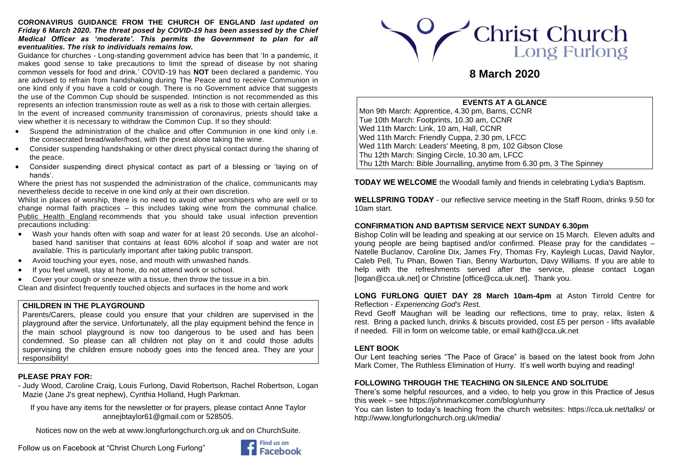#### **CORONAVIRUS GUIDANCE FROM THE CHURCH OF ENGLAND** *last updated on Friday 6 March 2020. The threat posed by COVID-19 has been assessed by the Chief Medical Officer as 'moderate'. This permits the Government to plan for all eventualities. The risk to individuals remains low.*

Guidance for churches - Long-standing government advice has been that 'In a pandemic, it makes good sense to take precautions to limit the spread of disease by not sharing common vessels for food and drink.' COVID-19 has **NOT** been declared a pandemic. You are advised to refrain from handshaking during The Peace and to receive Communion in one kind only if you have a cold or cough. There is no Government advice that suggests the use of the Common Cup should be suspended. Intinction is not recommended as this represents an infection transmission route as well as a risk to those with certain allergies. In the event of increased community transmission of coronavirus, priests should take a

view whether it is necessary to withdraw the Common Cup. If so they should: • Suspend the administration of the chalice and offer Communion in one kind only i.e.

- the consecrated bread/wafer/host, with the priest alone taking the wine.
- Consider suspending handshaking or other direct physical contact during the sharing of the peace.
- Consider suspending direct physical contact as part of a blessing or 'laying on of hands'.

Where the priest has not suspended the administration of the chalice, communicants may nevertheless decide to receive in one kind only at their own discretion.

Whilst in places of worship, there is no need to avoid other worshipers who are well or to change normal faith practices – this includes taking wine from the communal chalice. [Public Health England](https://www.gov.uk/government/organisations/public-health-england) recommends that you should take usual infection prevention precautions including:

- Wash your hands often with soap and water for at least 20 seconds. Use an alcoholbased hand sanitiser that contains at least 60% alcohol if soap and water are not available. This is particularly important after taking public transport.
- Avoid touching your eyes, nose, and mouth with unwashed hands.
- If you feel unwell, stay at home, do not attend work or school.

• Cover your cough or sneeze with a tissue, then throw the tissue in a bin. Clean and disinfect frequently touched objects and surfaces in the home and work

#### **CHILDREN IN THE PLAYGROUND**

Parents/Carers, please could you ensure that your children are supervised in the playground after the service. Unfortunately, all the play equipment behind the fence in the main school playground is now too dangerous to be used and has been condemned. So please can all children not play on it and could those adults supervising the children ensure nobody goes into the fenced area. They are your responsibility!

### **PLEASE PRAY FOR:**

- Judy Wood, Caroline Craig, Louis Furlong, David Robertson, Rachel Robertson, Logan Mazie (Jane J's great nephew), Cynthia Holland, Hugh Parkman.

If you have any items for the newsletter or for prayers, please contact Anne Taylor anneibtaylor61@gmail.com or 528505.

Notices now on the web at [www.longfurlongchurch.org.uk](http://www.longfurlongchurch.org.uk/) and on ChurchSuite.





# **8 March 2020**

#### **EVENTS AT A GLANCE**

Mon 9th March: Apprentice, 4.30 pm, Barns, CCNR Tue 10th March: Footprints, 10.30 am, CCNR Wed 11th March: Link, 10 am, Hall, CCNR Wed 11th March: Friendly Cuppa, 2.30 pm, LFCC Wed 11th March: Leaders' Meeting, 8 pm, 102 Gibson Close Thu 12th March: Singing Circle, 10.30 am, LFCC Thu 12th March: Bible Journalling, anytime from 6.30 pm, 3 The Spinney

**TODAY WE WELCOME** the Woodall family and friends in celebrating Lydia's Baptism.

**WELLSPRING TODAY** - our reflective service meeting in the Staff Room, drinks 9.50 for 10am start.

#### **CONFIRMATION AND BAPTISM SERVICE NEXT SUNDAY 6.30pm**

Bishop Colin will be leading and speaking at our service on 15 March. Eleven adults and young people are being baptised and/or confirmed. Please pray for the candidates – Natelle Buclanov, Caroline Dix, James Fry, Thomas Fry, Kayleigh Lucas, David Naylor, Caleb Pell, Tu Phan, Bowen Tian, Benny Warburton, Davy Williams. If you are able to help with the refreshments served after the service, please contact Logan [logan@cca.uk.net] or Christine [office@cca.uk.net]. Thank you.

#### **LONG FURLONG QUIET DAY 28 March 10am-4pm** at Aston Tirrold Centre for Reflection - *Experiencing God's Res*t.

Revd Geoff Maughan will be leading our reflections, time to pray, relax, listen & rest. Bring a packed lunch, drinks & biscuits provided, cost £5 per person - lifts available if needed. Fill in form on welcome table, or emai[l kath@cca.uk.net](mailto:kath@cca.uk.net)

### **LENT BOOK**

Our Lent teaching series "The Pace of Grace" is based on the latest book from John Mark Comer, The Ruthless Elimination of Hurry. It's well worth buying and reading!

### **FOLLOWING THROUGH THE TEACHING ON SILENCE AND SOLITUDE**

There's some helpful resources, and a video, to help you grow in this Practice of Jesus this week – se[e https://johnmarkcomer.com/blog/unhurry](https://johnmarkcomer.com/blog/unhurry)

You can listen to today's teaching from the church websites:<https://cca.uk.net/talks/> or <http://www.longfurlongchurch.org.uk/media/>